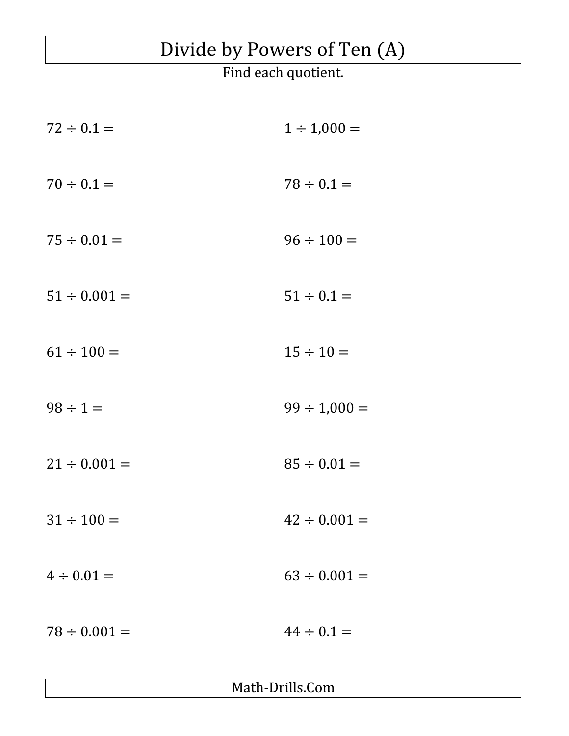## Divide by Powers of Ten (A)

Find each quotient.

| $72 \div 0.1 =$   | $1 \div 1,000 =$  |
|-------------------|-------------------|
| $70 \div 0.1 =$   | $78 \div 0.1 =$   |
| $75 \div 0.01 =$  | $96 \div 100 =$   |
| $51 \div 0.001 =$ | $51 \div 0.1 =$   |
| $61 \div 100 =$   | $15 \div 10 =$    |
| $98 \div 1 =$     | $99 \div 1,000 =$ |
| $21 \div 0.001 =$ | $85 \div 0.01 =$  |
| $31 \div 100 =$   | $42 \div 0.001 =$ |
| $4 \div 0.01 =$   | $63 \div 0.001 =$ |
| $78 \div 0.001 =$ | $44 \div 0.1 =$   |